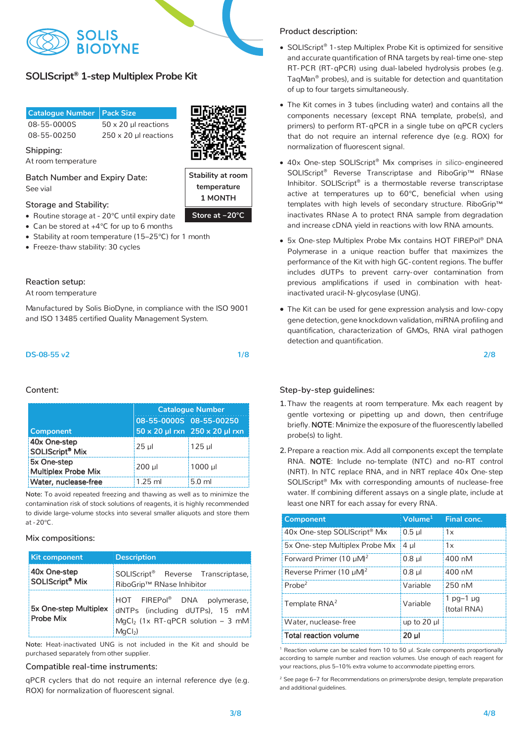

# $\textsf{SOLIScript}{}^{\circ}\textsf{1-step}$  Multiplex Probe Kit

| <b>Catalogue Number Pack Size</b> |                              |
|-----------------------------------|------------------------------|
| 08-55-0000S                       | $50 \times 20$ ul reactions  |
| 08-55-00250                       | $250 \times 20$ µl reactions |



**Store at -20 °C Stability at room Stability at room 1 MONTHtemperature Store at −20°C 1 MONTH**

**temperature** 

Shipping: *Shipping:* 

At room temperature

**Shipping: Batch Number and Expiry Date:**  See vial

# **Batch Number and Expiry Date: Storage and Stability:**

- Routine storage at 20°C until expiry date
- Can be stored at +4<sup>°</sup>C for up to 6 months
- Stability at room temperature (15–25°C) for 1 month
- $\bullet\,$  Freeze-thaw stability: 30 cycles

## **Reaction setup:**

**Reaction setup:**  At room temperature At room temperature

and ISO 13485 certified Quality Management System. and ISO 13485 certified Quality Management System. Manufactured by Solis BioDyne, in compliance with the ISO 9001

## DS-08-55 v2 1/8

**Step-by-step:** 

### 1.Thaw SolisFAST™ SolisGreen® qPCR Mix, template DNA, **Catalogue Number** primers, and nuclease-free water. Mix each component by gentle **08-55-0000S 08-55-00250** vortexing or pipetting up and down, then centrifuge briefly. **50 x 20 µl rxn 250 x 20 µl rxn**  $2.90x$  One-step  $2.95x$  and  $2.125x$  the  $2.95x$ SOLIScript<sup>®</sup> Mi: **Component Component Component Component Component Component Component Property Component Property Component Component Property Component Component Component Component Component Component Component Component Component Comp** Water, nuclease-free 1.25 ml 5.0 ml **Component**  $\bullet$  Mix 25 µl 125 µl 5x One-step

**Product Mix (No ROX) (1X) COX**<br>Note: To avoid repeated freezing and thawing as well as to minimize the contamination risk of stock solutions of reagents, it is highly recommended Reverse Primer (10 µM) 0.8 µl 400 nM to divide large- volume stocks into several smaller aliquots and store them at -20 $^{\circ}$ C

 $Mix$  compositions:

| <b>Kit component</b>                        | <b>Description</b>                                                                                                                    |  |  |
|---------------------------------------------|---------------------------------------------------------------------------------------------------------------------------------------|--|--|
| 40x One-step<br>SOLIScript <sup>®</sup> Mix | SOLIScript <sup>®</sup> Reverse Transcriptase,<br>RiboGrip™ RNase Inhibitor                                                           |  |  |
| 5x One-step Multiplex<br>Probe Mix          | HOT FIREPol <sup>®</sup> DNA polymerase,<br>dNTPs (including dUTPs), 15 mM<br>$MgCl2$ (1x RT-qPCR solution – 3 mM<br>MaC <sub>b</sub> |  |  |

**Note:** Heat-inactivated UNG is not included in the Kit and should be purchased separately from other supplier.

### Compatible real-time instruments:

qPCR cyclers that do not require an internal reference dye (e.g. ROX) for normalization of fluorescent signal.

## **Product description: Product description:**

- SOLIScript® 1-step Multiplex Probe Kit is optimized for sensitive and accurate quantification of RNA targets by real-time one-step RT-PCR (RT-qPCR) using dual-labeled hydrolysis probes (e.g. TaqMan® probes), and is suitable for detection and quantitation of up to four targets simultaneously.
- components necessary (except RNA template, probe(s), and normalization of fluorescent signal. primers) to perform RT-qPCR in a single tube on qPCR cyclers that do not require an internal reference dye (e.g. ROX) for • The Kit comes in 3 tubes (including water) and contains all the
- 40x One-step SOLIScript<sup>®</sup> Mix comprises *in silico*-engineered SOLIScript<sup>®</sup> Reverse Transcriptase and RiboGrip™ RNase active at temperatures up to 60°C, beneficial when using Inhibitor. SOLIScript® is a thermostable reverse transcriptase templates with high levels of secondary structure. RiboGrip™ inactivates RNase A to protect RNA sample from degradation and increase cDNA yield in reactions with low RNA amounts.
- **Compatible real-time instruments:**  Polymerase in a unique reaction buffer that maximizes the performance of the Kit with high GC- content regions. The buffer includes dUTPs to prevent carry-over contamination from previous amplifications if used in combination with heat-• 5x One-step Multiplex Probe Mix contains HOT FIREPol® DNA inactivated uracil-N-glycosylase (UNG).
- The Kit can be used for gene expression analysis and low- copy gene detection, gene knockdown validation, miRNA profiling and quantification, characterization of GMOs, RNA viral pathogen detection and quantification.

2/8 2/8

## $Step-by-step$  guidelines:

- 1. Thaw the reagents at room temperature. Mix each reagent by gentle vortexing or pipetting up and down, then centrifuge probe(s) to light. briefly. NOTE: Minimize the exposure of the fluorescently labelled
- 2. Prepare a reaction mix. Add all components except the template RNA. NOTE: Include no-template (NTC) and no-RT control (NRT). In NTC replace RNA, and in NRT replace 40x One-step SOLIScript® Mix with corresponding amounts of nuclease-free water. If combining different assays on a single plate, include at least one NRT for each assay for every RNA.

| <b>Component</b>                    | Volume <sup>1</sup> | Final conc.                   |
|-------------------------------------|---------------------|-------------------------------|
| 40x One-step SOLIScript® Mix        | $0.5$ ul            | 1x                            |
| 5x One-step Multiplex Probe Mix     | 4 ul                | 1x                            |
| Forward Primer (10 µM) <sup>2</sup> | $0.8$ $\mu$         | 400 nM                        |
| Reverse Primer (10 µM) <sup>2</sup> | $0.8$ ul            | 400 nM                        |
| Probe <sup>2</sup>                  | Variable            | 250 nM                        |
| Template RNA <sup>2</sup>           | Variable            | $1$ pq $-1$ µq<br>(total RNA) |
| Water, nuclease-free                | up to 20 µl         |                               |
| <b>Total reaction volume</b>        | 20 ul               |                               |

<sup>1</sup> Reaction volume can be scaled from 10 to 50 µl. Scale components proportionally according to sample number and reaction volumes. Use enough of each reagent for your reactions, plus 5–10% extra volume to accommodate pipetting errors.

 $2$  See page 6–7 for Recommendations on primers/probe design, template preparation and additional guidelines.